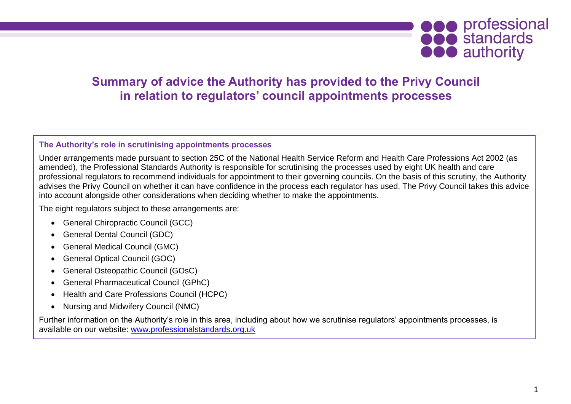

## **Summary of advice the Authority has provided to the Privy Council in relation to regulators' council appointments processes**

## **The Authority's role in scrutinising appointments processes**

Under arrangements made pursuant to section 25C of the National Health Service Reform and Health Care Professions Act 2002 (as amended), the Professional Standards Authority is responsible for scrutinising the processes used by eight UK health and care professional regulators to recommend individuals for appointment to their governing councils. On the basis of this scrutiny, the Authority advises the Privy Council on whether it can have confidence in the process each regulator has used. The Privy Council takes this advice into account alongside other considerations when deciding whether to make the appointments.

The eight regulators subject to these arrangements are:

- General Chiropractic Council (GCC)
- General Dental Council (GDC)
- General Medical Council (GMC)
- General Optical Council (GOC)
- General Osteopathic Council (GOsC)
- General Pharmaceutical Council (GPhC)
- Health and Care Professions Council (HCPC)
- Nursing and Midwifery Council (NMC)

Further information on the Authority's role in this area, including about how we scrutinise regulators' appointments processes, is available on our website: [www.professionalstandards.org.uk](http://www.professionalstandards.org.uk/)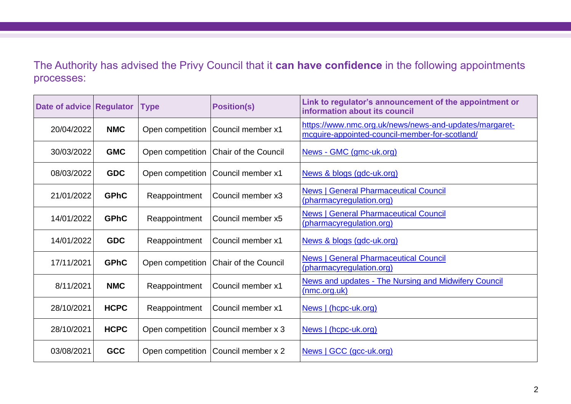The Authority has advised the Privy Council that it **can have confidence** in the following appointments processes:

| Date of advice Regulator |             | <b>Type</b>      | <b>Position(s)</b>                    | Link to regulator's announcement of the appointment or<br>information about its council                  |
|--------------------------|-------------|------------------|---------------------------------------|----------------------------------------------------------------------------------------------------------|
| 20/04/2022               | <b>NMC</b>  | Open competition | Council member x1                     | https://www.nmc.org.uk/news/news-and-updates/margaret-<br>mcguire-appointed-council-member-for-scotland/ |
| 30/03/2022               | <b>GMC</b>  | Open competition | Chair of the Council                  | News - GMC (gmc-uk.org)                                                                                  |
| 08/03/2022               | <b>GDC</b>  | Open competition | Council member x1                     | News & blogs (gdc-uk.org)                                                                                |
| 21/01/2022               | <b>GPhC</b> | Reappointment    | Council member x3                     | <b>News   General Pharmaceutical Council</b><br>(pharmacyregulation.org)                                 |
| 14/01/2022               | <b>GPhC</b> | Reappointment    | Council member x5                     | <b>News   General Pharmaceutical Council</b><br>(pharmacyregulation.org)                                 |
| 14/01/2022               | <b>GDC</b>  | Reappointment    | Council member x1                     | News & blogs (gdc-uk.org)                                                                                |
| 17/11/2021               | <b>GPhC</b> | Open competition | Chair of the Council                  | <b>News   General Pharmaceutical Council</b><br>(pharmacyregulation.org)                                 |
| 8/11/2021                | <b>NMC</b>  | Reappointment    | Council member x1                     | News and updates - The Nursing and Midwifery Council<br>(mnc.org.uk)                                     |
| 28/10/2021               | <b>HCPC</b> | Reappointment    | Council member x1                     | News   (hcpc-uk.org)                                                                                     |
| 28/10/2021               | <b>HCPC</b> | Open competition | Council member x 3                    | News   (hcpc-uk.org)                                                                                     |
| 03/08/2021               | <b>GCC</b>  |                  | Open competition   Council member x 2 | News   GCC (gcc-uk.org)                                                                                  |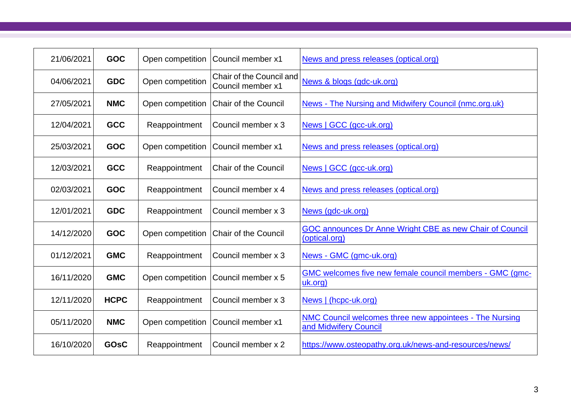| 21/06/2021 | <b>GOC</b>  | Open competition | Council member x1                             | News and press releases (optical.org)                                                   |
|------------|-------------|------------------|-----------------------------------------------|-----------------------------------------------------------------------------------------|
| 04/06/2021 | <b>GDC</b>  | Open competition | Chair of the Council and<br>Council member x1 | News & blogs (gdc-uk.org)                                                               |
| 27/05/2021 | <b>NMC</b>  | Open competition | <b>Chair of the Council</b>                   | News - The Nursing and Midwifery Council (nmc.org.uk)                                   |
| 12/04/2021 | <b>GCC</b>  | Reappointment    | Council member x 3                            | News   GCC (gcc-uk.org)                                                                 |
| 25/03/2021 | <b>GOC</b>  | Open competition | Council member x1                             | News and press releases (optical.org)                                                   |
| 12/03/2021 | <b>GCC</b>  | Reappointment    | <b>Chair of the Council</b>                   | News   GCC (gcc-uk.org)                                                                 |
| 02/03/2021 | <b>GOC</b>  | Reappointment    | Council member x 4                            | News and press releases (optical.org)                                                   |
| 12/01/2021 | <b>GDC</b>  | Reappointment    | Council member x 3                            | News (gdc-uk.org)                                                                       |
| 14/12/2020 | <b>GOC</b>  | Open competition | <b>Chair of the Council</b>                   | GOC announces Dr Anne Wright CBE as new Chair of Council<br>(optical.org)               |
| 01/12/2021 | <b>GMC</b>  | Reappointment    | Council member x 3                            | News - GMC (gmc-uk.org)                                                                 |
| 16/11/2020 | <b>GMC</b>  | Open competition | Council member x 5                            | GMC welcomes five new female council members - GMC (gmc-<br>uk.org)                     |
| 12/11/2020 | <b>HCPC</b> | Reappointment    | Council member x 3                            | News   (hcpc-uk.org)                                                                    |
| 05/11/2020 | <b>NMC</b>  | Open competition | Council member x1                             | <b>NMC Council welcomes three new appointees - The Nursing</b><br>and Midwifery Council |
| 16/10/2020 | <b>GOSC</b> | Reappointment    | Council member x 2                            | https://www.osteopathy.org.uk/news-and-resources/news/                                  |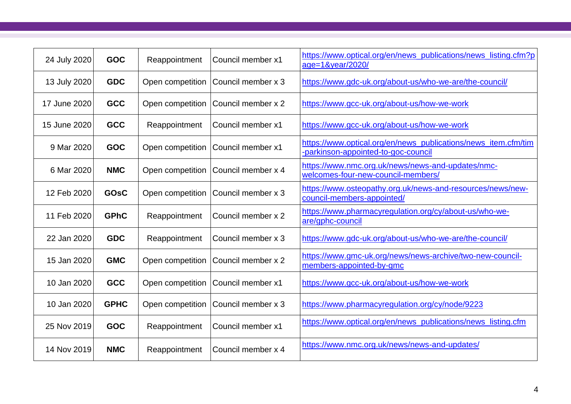| 24 July 2020 | <b>GOC</b>  | Reappointment    | Council member x1  | https://www.optical.org/en/news_publications/news_listing.cfm?p<br>age=1&year/2020/                   |
|--------------|-------------|------------------|--------------------|-------------------------------------------------------------------------------------------------------|
| 13 July 2020 | <b>GDC</b>  | Open competition | Council member x 3 | https://www.gdc-uk.org/about-us/who-we-are/the-council/                                               |
| 17 June 2020 | <b>GCC</b>  | Open competition | Council member x 2 | https://www.gcc-uk.org/about-us/how-we-work                                                           |
| 15 June 2020 | <b>GCC</b>  | Reappointment    | Council member x1  | https://www.gcc-uk.org/about-us/how-we-work                                                           |
| 9 Mar 2020   | <b>GOC</b>  | Open competition | Council member x1  | https://www.optical.org/en/news publications/news item.cfm/tim<br>-parkinson-appointed-to-goc-council |
| 6 Mar 2020   | <b>NMC</b>  | Open competition | Council member x 4 | https://www.nmc.org.uk/news/news-and-updates/nmc-<br>welcomes-four-new-council-members/               |
| 12 Feb 2020  | <b>GOsC</b> | Open competition | Council member x 3 | https://www.osteopathy.org.uk/news-and-resources/news/new-<br>council-members-appointed/              |
| 11 Feb 2020  | <b>GPhC</b> | Reappointment    | Council member x 2 | https://www.pharmacyregulation.org/cy/about-us/who-we-<br>are/gphc-council                            |
| 22 Jan 2020  | <b>GDC</b>  | Reappointment    | Council member x 3 | https://www.gdc-uk.org/about-us/who-we-are/the-council/                                               |
| 15 Jan 2020  | <b>GMC</b>  | Open competition | Council member x 2 | https://www.gmc-uk.org/news/news-archive/two-new-council-<br>members-appointed-by-gmc                 |
| 10 Jan 2020  | <b>GCC</b>  | Open competition | Council member x1  | https://www.gcc-uk.org/about-us/how-we-work                                                           |
| 10 Jan 2020  | <b>GPHC</b> | Open competition | Council member x 3 | https://www.pharmacyregulation.org/cy/node/9223                                                       |
| 25 Nov 2019  | <b>GOC</b>  | Reappointment    | Council member x1  | https://www.optical.org/en/news_publications/news_listing.cfm                                         |
| 14 Nov 2019  | <b>NMC</b>  | Reappointment    | Council member x 4 | https://www.nmc.org.uk/news/news-and-updates/                                                         |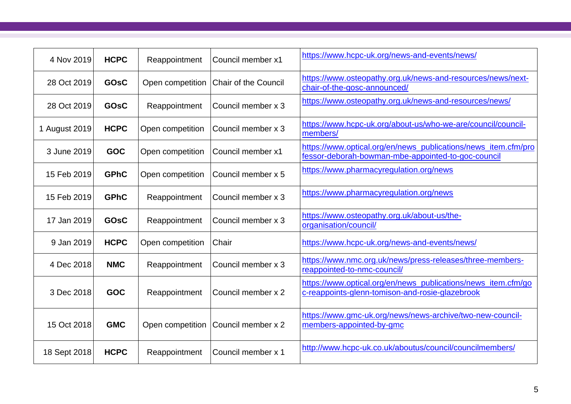| 4 Nov 2019    | <b>HCPC</b> | Reappointment    | Council member x1    | https://www.hcpc-uk.org/news-and-events/news/                                                                        |
|---------------|-------------|------------------|----------------------|----------------------------------------------------------------------------------------------------------------------|
| 28 Oct 2019   | <b>GOSC</b> | Open competition | Chair of the Council | https://www.osteopathy.org.uk/news-and-resources/news/next-<br>chair-of-the-gosc-announced/                          |
| 28 Oct 2019   | <b>GOSC</b> | Reappointment    | Council member x 3   | https://www.osteopathy.org.uk/news-and-resources/news/                                                               |
| 1 August 2019 | <b>HCPC</b> | Open competition | Council member x 3   | https://www.hcpc-uk.org/about-us/who-we-are/council/council-<br>members/                                             |
| 3 June 2019   | <b>GOC</b>  | Open competition | Council member x1    | https://www.optical.org/en/news_publications/news_item.cfm/pro<br>fessor-deborah-bowman-mbe-appointed-to-goc-council |
| 15 Feb 2019   | <b>GPhC</b> | Open competition | Council member x 5   | https://www.pharmacyregulation.org/news                                                                              |
| 15 Feb 2019   | <b>GPhC</b> | Reappointment    | Council member x 3   | https://www.pharmacyregulation.org/news                                                                              |
| 17 Jan 2019   | <b>GOSC</b> | Reappointment    | Council member x 3   | https://www.osteopathy.org.uk/about-us/the-<br>organisation/council/                                                 |
| 9 Jan 2019    | <b>HCPC</b> | Open competition | Chair                | https://www.hcpc-uk.org/news-and-events/news/                                                                        |
| 4 Dec 2018    | <b>NMC</b>  | Reappointment    | Council member x 3   | https://www.nmc.org.uk/news/press-releases/three-members-<br>reappointed-to-nmc-council/                             |
| 3 Dec 2018    | <b>GOC</b>  | Reappointment    | Council member x 2   | https://www.optical.org/en/news_publications/news_item.cfm/go<br>c-reappoints-glenn-tomison-and-rosie-glazebrook     |
| 15 Oct 2018   | <b>GMC</b>  | Open competition | Council member x 2   | https://www.gmc-uk.org/news/news-archive/two-new-council-<br>members-appointed-by-gmc                                |
| 18 Sept 2018  | <b>HCPC</b> | Reappointment    | Council member x 1   | http://www.hcpc-uk.co.uk/aboutus/council/councilmembers/                                                             |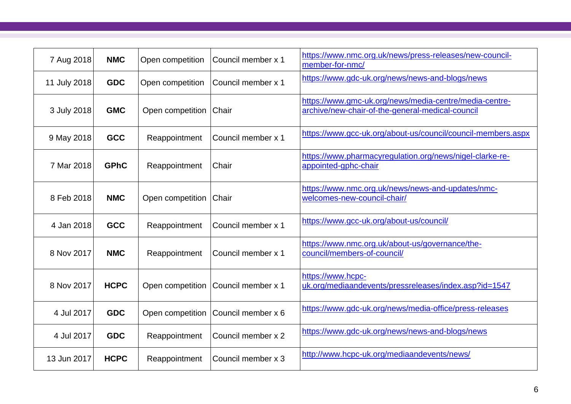| 7 Aug 2018   | <b>NMC</b>  | Open competition | Council member x 1 | https://www.nmc.org.uk/news/press-releases/new-council-<br>member-for-nmc/                                 |
|--------------|-------------|------------------|--------------------|------------------------------------------------------------------------------------------------------------|
| 11 July 2018 | <b>GDC</b>  | Open competition | Council member x 1 | https://www.gdc-uk.org/news/news-and-blogs/news                                                            |
| 3 July 2018  | <b>GMC</b>  | Open competition | Chair              | https://www.gmc-uk.org/news/media-centre/media-centre-<br>archive/new-chair-of-the-general-medical-council |
| 9 May 2018   | <b>GCC</b>  | Reappointment    | Council member x 1 | https://www.gcc-uk.org/about-us/council/council-members.aspx                                               |
| 7 Mar 2018   | <b>GPhC</b> | Reappointment    | Chair              | https://www.pharmacyregulation.org/news/nigel-clarke-re-<br>appointed-gphc-chair                           |
| 8 Feb 2018   | <b>NMC</b>  | Open competition | Chair              | https://www.nmc.org.uk/news/news-and-updates/nmc-<br>welcomes-new-council-chair/                           |
| 4 Jan 2018   | <b>GCC</b>  | Reappointment    | Council member x 1 | https://www.gcc-uk.org/about-us/council/                                                                   |
| 8 Nov 2017   | <b>NMC</b>  | Reappointment    | Council member x 1 | https://www.nmc.org.uk/about-us/governance/the-<br>council/members-of-council/                             |
| 8 Nov 2017   | <b>HCPC</b> | Open competition | Council member x 1 | https://www.hcpc-<br>uk.org/mediaandevents/pressreleases/index.asp?id=1547                                 |
| 4 Jul 2017   | <b>GDC</b>  | Open competition | Council member x 6 | https://www.gdc-uk.org/news/media-office/press-releases                                                    |
| 4 Jul 2017   | <b>GDC</b>  | Reappointment    | Council member x 2 | https://www.gdc-uk.org/news/news-and-blogs/news                                                            |
| 13 Jun 2017  | <b>HCPC</b> | Reappointment    | Council member x 3 | http://www.hcpc-uk.org/mediaandevents/news/                                                                |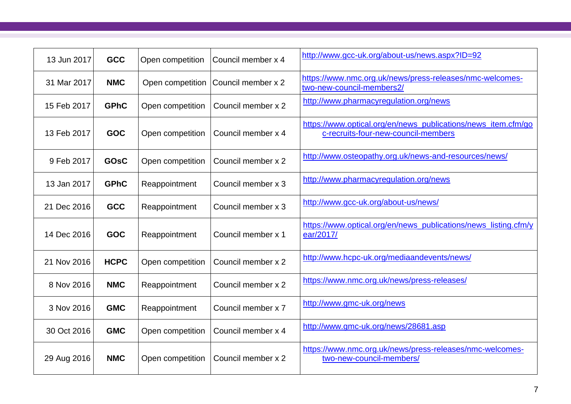| 13 Jun 2017 | <b>GCC</b>  | Open competition | Council member x 4 | http://www.gcc-uk.org/about-us/news.aspx?ID=92                                                       |
|-------------|-------------|------------------|--------------------|------------------------------------------------------------------------------------------------------|
| 31 Mar 2017 | <b>NMC</b>  | Open competition | Council member x 2 | https://www.nmc.org.uk/news/press-releases/nmc-welcomes-<br>two-new-council-members2/                |
| 15 Feb 2017 | <b>GPhC</b> | Open competition | Council member x 2 | http://www.pharmacyregulation.org/news                                                               |
| 13 Feb 2017 | <b>GOC</b>  | Open competition | Council member x 4 | https://www.optical.org/en/news_publications/news_item.cfm/go<br>c-recruits-four-new-council-members |
| 9 Feb 2017  | <b>GOSC</b> | Open competition | Council member x 2 | http://www.osteopathy.org.uk/news-and-resources/news/                                                |
| 13 Jan 2017 | <b>GPhC</b> | Reappointment    | Council member x 3 | http://www.pharmacyregulation.org/news                                                               |
| 21 Dec 2016 | <b>GCC</b>  | Reappointment    | Council member x 3 | http://www.gcc-uk.org/about-us/news/                                                                 |
| 14 Dec 2016 | <b>GOC</b>  | Reappointment    | Council member x 1 | https://www.optical.org/en/news_publications/news_listing.cfm/y<br>ear/2017/                         |
| 21 Nov 2016 | <b>HCPC</b> | Open competition | Council member x 2 | http://www.hcpc-uk.org/mediaandevents/news/                                                          |
| 8 Nov 2016  | <b>NMC</b>  | Reappointment    | Council member x 2 | https://www.nmc.org.uk/news/press-releases/                                                          |
| 3 Nov 2016  | <b>GMC</b>  | Reappointment    | Council member x 7 | http://www.gmc-uk.org/news                                                                           |
| 30 Oct 2016 | <b>GMC</b>  | Open competition | Council member x 4 | http://www.gmc-uk.org/news/28681.asp                                                                 |
| 29 Aug 2016 | <b>NMC</b>  | Open competition | Council member x 2 | https://www.nmc.org.uk/news/press-releases/nmc-welcomes-<br>two-new-council-members/                 |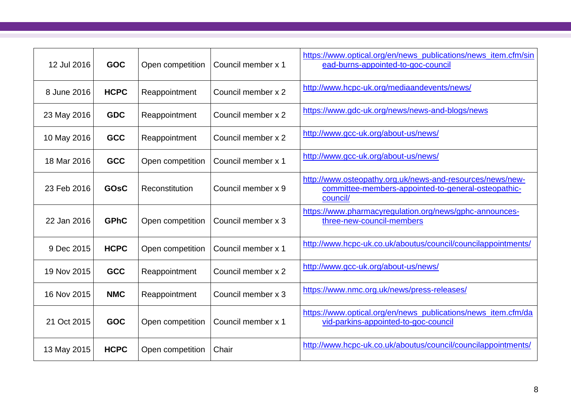| 12 Jul 2016 | <b>GOC</b>  | Open competition | Council member x 1 | https://www.optical.org/en/news_publications/news_item.cfm/sin<br>ead-burns-appointed-to-goc-council                         |
|-------------|-------------|------------------|--------------------|------------------------------------------------------------------------------------------------------------------------------|
| 8 June 2016 | <b>HCPC</b> | Reappointment    | Council member x 2 | http://www.hcpc-uk.org/mediaandevents/news/                                                                                  |
| 23 May 2016 | <b>GDC</b>  | Reappointment    | Council member x 2 | https://www.gdc-uk.org/news/news-and-blogs/news                                                                              |
| 10 May 2016 | <b>GCC</b>  | Reappointment    | Council member x 2 | http://www.gcc-uk.org/about-us/news/                                                                                         |
| 18 Mar 2016 | <b>GCC</b>  | Open competition | Council member x 1 | http://www.gcc-uk.org/about-us/news/                                                                                         |
| 23 Feb 2016 | <b>GOsC</b> | Reconstitution   | Council member x 9 | http://www.osteopathy.org.uk/news-and-resources/news/new-<br>committee-members-appointed-to-general-osteopathic-<br>council/ |
| 22 Jan 2016 | <b>GPhC</b> | Open competition | Council member x 3 | https://www.pharmacyregulation.org/news/gphc-announces-<br>three-new-council-members                                         |
| 9 Dec 2015  | <b>HCPC</b> | Open competition | Council member x 1 | http://www.hcpc-uk.co.uk/aboutus/council/councilappointments/                                                                |
| 19 Nov 2015 | <b>GCC</b>  | Reappointment    | Council member x 2 | http://www.gcc-uk.org/about-us/news/                                                                                         |
| 16 Nov 2015 | <b>NMC</b>  | Reappointment    | Council member x 3 | https://www.nmc.org.uk/news/press-releases/                                                                                  |
| 21 Oct 2015 | <b>GOC</b>  | Open competition | Council member x 1 | https://www.optical.org/en/news_publications/news_item.cfm/da<br>vid-parkins-appointed-to-goc-council                        |
| 13 May 2015 | <b>HCPC</b> | Open competition | Chair              | http://www.hcpc-uk.co.uk/aboutus/council/councilappointments/                                                                |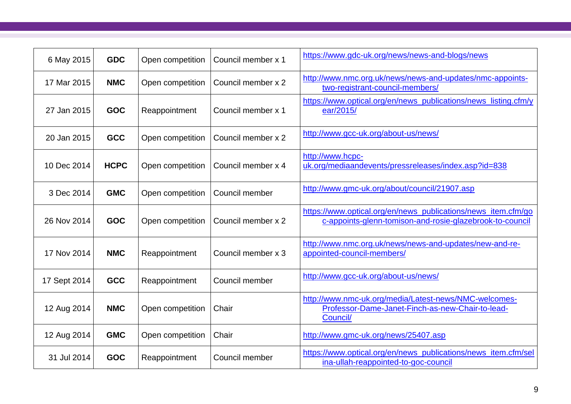| 6 May 2015   | <b>GDC</b>  | Open competition | Council member x 1 | https://www.gdc-uk.org/news/news-and-blogs/news                                                                           |
|--------------|-------------|------------------|--------------------|---------------------------------------------------------------------------------------------------------------------------|
| 17 Mar 2015  | <b>NMC</b>  | Open competition | Council member x 2 | http://www.nmc.org.uk/news/news-and-updates/nmc-appoints-<br>two-registrant-council-members/                              |
| 27 Jan 2015  | <b>GOC</b>  | Reappointment    | Council member x 1 | https://www.optical.org/en/news_publications/news_listing.cfm/y<br>ear/2015/                                              |
| 20 Jan 2015  | <b>GCC</b>  | Open competition | Council member x 2 | http://www.gcc-uk.org/about-us/news/                                                                                      |
| 10 Dec 2014  | <b>HCPC</b> | Open competition | Council member x 4 | http://www.hcpc-<br>uk.org/mediaandevents/pressreleases/index.asp?id=838                                                  |
| 3 Dec 2014   | <b>GMC</b>  | Open competition | Council member     | http://www.gmc-uk.org/about/council/21907.asp                                                                             |
| 26 Nov 2014  | <b>GOC</b>  | Open competition | Council member x 2 | https://www.optical.org/en/news_publications/news_item.cfm/go<br>c-appoints-glenn-tomison-and-rosie-glazebrook-to-council |
| 17 Nov 2014  | <b>NMC</b>  | Reappointment    | Council member x 3 | http://www.nmc.org.uk/news/news-and-updates/new-and-re-<br>appointed-council-members/                                     |
| 17 Sept 2014 | <b>GCC</b>  | Reappointment    | Council member     | http://www.gcc-uk.org/about-us/news/                                                                                      |
| 12 Aug 2014  | <b>NMC</b>  | Open competition | Chair              | http://www.nmc-uk.org/media/Latest-news/NMC-welcomes-<br>Professor-Dame-Janet-Finch-as-new-Chair-to-lead-<br>Council/     |
| 12 Aug 2014  | <b>GMC</b>  | Open competition | Chair              | http://www.gmc-uk.org/news/25407.asp                                                                                      |
| 31 Jul 2014  | <b>GOC</b>  | Reappointment    | Council member     | https://www.optical.org/en/news_publications/news_item.cfm/sel<br>ina-ullah-reappointed-to-goc-council                    |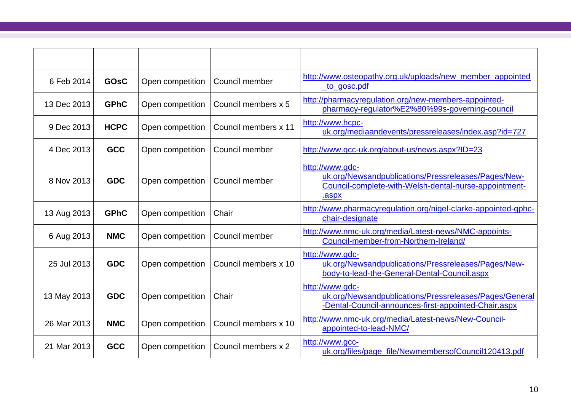| 6 Feb 2014  | <b>GOSC</b> | Open competition | Council member       | http://www.osteopathy.org.uk/uploads/new_member_appointed<br><u>to gosc.pdf</u>                                                          |
|-------------|-------------|------------------|----------------------|------------------------------------------------------------------------------------------------------------------------------------------|
| 13 Dec 2013 | <b>GPhC</b> | Open competition | Council members x 5  | http://pharmacyregulation.org/new-members-appointed-<br>pharmacy-regulator%E2%80%99s-governing-council                                   |
| 9 Dec 2013  | <b>HCPC</b> | Open competition | Council members x 11 | http://www.hcpc-<br>uk.org/mediaandevents/pressreleases/index.asp?id=727                                                                 |
| 4 Dec 2013  | <b>GCC</b>  | Open competition | Council member       | http://www.gcc-uk.org/about-us/news.aspx?ID=23                                                                                           |
| 8 Nov 2013  | <b>GDC</b>  | Open competition | Council member       | http://www.gdc-<br>uk.org/Newsandpublications/Pressreleases/Pages/New-<br>Council-complete-with-Welsh-dental-nurse-appointment-<br>.aspx |
| 13 Aug 2013 | <b>GPhC</b> | Open competition | Chair                | http://www.pharmacyregulation.org/nigel-clarke-appointed-gphc-<br>chair-designate                                                        |
| 6 Aug 2013  | <b>NMC</b>  | Open competition | Council member       | http://www.nmc-uk.org/media/Latest-news/NMC-appoints-<br>Council-member-from-Northern-Ireland/                                           |
| 25 Jul 2013 | <b>GDC</b>  | Open competition | Council members x 10 | http://www.gdc-<br>uk.org/Newsandpublications/Pressreleases/Pages/New-<br>body-to-lead-the-General-Dental-Council.aspx                   |
| 13 May 2013 | <b>GDC</b>  | Open competition | Chair                | http://www.gdc-<br>uk.org/Newsandpublications/Pressreleases/Pages/General<br>-Dental-Council-announces-first-appointed-Chair.aspx        |
| 26 Mar 2013 | <b>NMC</b>  | Open competition | Council members x 10 | http://www.nmc-uk.org/media/Latest-news/New-Council-<br>appointed-to-lead-NMC/                                                           |
| 21 Mar 2013 | <b>GCC</b>  | Open competition | Council members x 2  | http://www.gcc-<br>uk.org/files/page_file/NewmembersofCouncil120413.pdf                                                                  |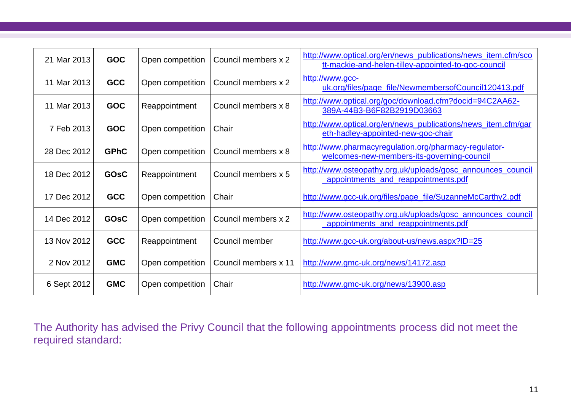| 21 Mar 2013 | <b>GOC</b>  | Open competition | Council members x 2  | http://www.optical.org/en/news_publications/news_item.cfm/sco<br>tt-mackie-and-helen-tilley-appointed-to-goc-council |
|-------------|-------------|------------------|----------------------|----------------------------------------------------------------------------------------------------------------------|
| 11 Mar 2013 | <b>GCC</b>  | Open competition | Council members x 2  | http://www.gcc-<br>uk.org/files/page_file/NewmembersofCouncil120413.pdf                                              |
| 11 Mar 2013 | <b>GOC</b>  | Reappointment    | Council members x 8  | http://www.optical.org/goc/download.cfm?docid=94C2AA62-<br>389A-44B3-B6F82B2919D03663                                |
| 7 Feb 2013  | <b>GOC</b>  | Open competition | Chair                | http://www.optical.org/en/news_publications/news_item.cfm/gar<br>eth-hadley-appointed-new-goc-chair                  |
| 28 Dec 2012 | <b>GPhC</b> | Open competition | Council members x 8  | http://www.pharmacyregulation.org/pharmacy-regulator-<br>welcomes-new-members-its-governing-council                  |
| 18 Dec 2012 | <b>GOSC</b> | Reappointment    | Council members x 5  | http://www.osteopathy.org.uk/uploads/gosc_announces_council<br>appointments and reappointments.pdf                   |
| 17 Dec 2012 | <b>GCC</b>  | Open competition | Chair                | http://www.gcc-uk.org/files/page_file/SuzanneMcCarthy2.pdf                                                           |
| 14 Dec 2012 | <b>GOSC</b> | Open competition | Council members x 2  | http://www.osteopathy.org.uk/uploads/gosc_announces_council<br>appointments_and_reappointments.pdf                   |
| 13 Nov 2012 | <b>GCC</b>  | Reappointment    | Council member       | http://www.gcc-uk.org/about-us/news.aspx?ID=25                                                                       |
| 2 Nov 2012  | <b>GMC</b>  | Open competition | Council members x 11 | http://www.gmc-uk.org/news/14172.asp                                                                                 |
| 6 Sept 2012 | <b>GMC</b>  | Open competition | Chair                | http://www.gmc-uk.org/news/13900.asp                                                                                 |

The Authority has advised the Privy Council that the following appointments process did not meet the required standard: